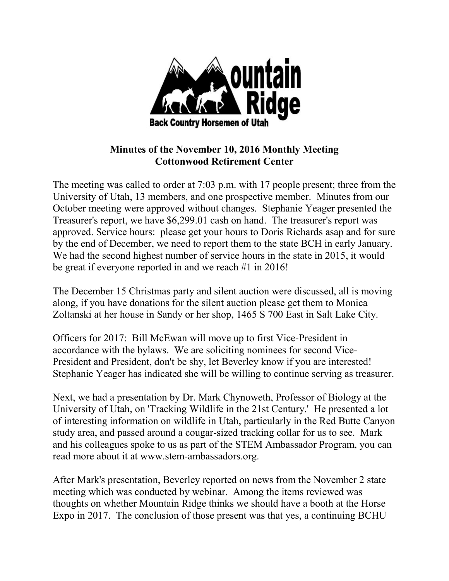

## **Minutes of the November 10, 2016 Monthly Meeting Cottonwood Retirement Center**

The meeting was called to order at 7:03 p.m. with 17 people present; three from the University of Utah, 13 members, and one prospective member. Minutes from our October meeting were approved without changes. Stephanie Yeager presented the Treasurer's report, we have \$6,299.01 cash on hand. The treasurer's report was approved. Service hours: please get your hours to Doris Richards asap and for sure by the end of December, we need to report them to the state BCH in early January. We had the second highest number of service hours in the state in 2015, it would be great if everyone reported in and we reach #1 in 2016!

The December 15 Christmas party and silent auction were discussed, all is moving along, if you have donations for the silent auction please get them to Monica Zoltanski at her house in Sandy or her shop, 1465 S 700 East in Salt Lake City.

Officers for 2017: Bill McEwan will move up to first Vice-President in accordance with the bylaws. We are soliciting nominees for second Vice-President and President, don't be shy, let Beverley know if you are interested! Stephanie Yeager has indicated she will be willing to continue serving as treasurer.

Next, we had a presentation by Dr. Mark Chynoweth, Professor of Biology at the University of Utah, on 'Tracking Wildlife in the 21st Century.' He presented a lot of interesting information on wildlife in Utah, particularly in the Red Butte Canyon study area, and passed around a cougar-sized tracking collar for us to see. Mark and his colleagues spoke to us as part of the STEM Ambassador Program, you can read more about it at www.stem-ambassadors.org.

After Mark's presentation, Beverley reported on news from the November 2 state meeting which was conducted by webinar. Among the items reviewed was thoughts on whether Mountain Ridge thinks we should have a booth at the Horse Expo in 2017. The conclusion of those present was that yes, a continuing BCHU